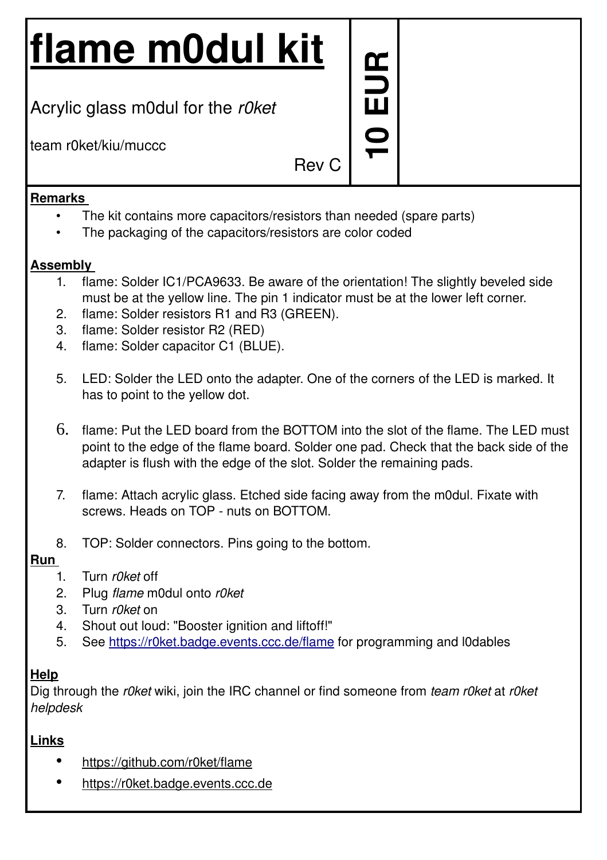# **flame m0dul kit**

Acrylic glass m0dul for the *r0ket*

team r0ket/kiu/muccc

Rev C

**10**

**EUR**

#### **Remarks**

- The kit contains more capacitors/resistors than needed (spare parts)
- The packaging of the capacitors/resistors are color coded

### **Assembly**

- 1. flame: Solder IC1/PCA9633. Be aware of the orientation! The slightly beveled side must be at the yellow line. The pin 1 indicator must be at the lower left corner.
- 2. flame: Solder resistors R1 and R3 (GREEN).
- 3. flame: Solder resistor R2 (RED)
- 4. flame: Solder capacitor C1 (BLUE).
- 5. LED: Solder the LED onto the adapter. One of the corners of the LED is marked. It has to point to the yellow dot.
- 6. flame: Put the LED board from the BOTTOM into the slot of the flame. The LED must point to the edge of the flame board. Solder one pad. Check that the back side of the adapter is flush with the edge of the slot. Solder the remaining pads.
- 7. flame: Attach acrylic glass. Etched side facing away from the m0dul. Fixate with screws. Heads on TOP - nuts on BOTTOM.
- 8. TOP: Solder connectors. Pins going to the bottom.

## **Run**

- 1. Turn *r0ket* off
- 2. Plug *flame* m0dul onto *r0ket*
- 3. Turn *r0ket* on
- 4. Shout out loud: "Booster ignition and liftoff!"
- 5. See https://r0ket.badge.events.ccc.de/flame for programming and l0dables

### **Help**

Dig through the *r0ket* wiki, join the IRC channel or find someone from *team r0ket* at *r0ket helpdesk*

## **Links**

- https://github.com/r0ket/flame
- [https://r0ket.badge.events.ccc.de](https://r0ket.badge.events.ccc.de/)